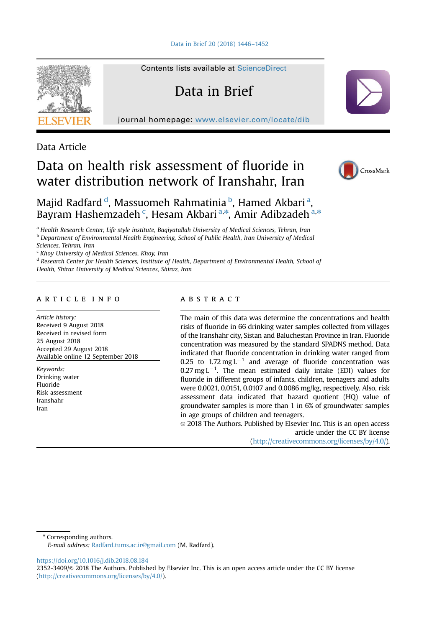

Contents lists available at [ScienceDirect](www.sciencedirect.com/science/journal/23523409)

# Data in Brief

journal homepage: <www.elsevier.com/locate/dib>

Data Article

## Data on health risk assessment of fluoride in water distribution network of Iranshahr, Iran



Majid Radfard <sup>d</sup>, Massuomeh Rahmatinia <sup>b</sup>, Hamed Akbari <sup>a</sup>, Bayram Hashemzadeh<sup>c</sup>, Hesam Akbari<sup>a,\*</sup>, Amir Adibzadeh<sup>a,\*</sup>

<sup>a</sup> Health Research Center, Life style institute, Bagiyatallah University of Medical Sciences, Tehran, Iran <sup>b</sup> Department of Environmental Health Engineering, School of Public Health, Iran University of Medical

Sciences, Tehran, Iran

<sup>c</sup> Khoy University of Medical Sciences, Khoy, Iran

<sup>d</sup> Research Center for Health Sciences, Institute of Health, Department of Environmental Health, School of Health, Shiraz University of Medical Sciences, Shiraz, Iran

#### article info

Article history: Received 9 August 2018 Received in revised form 25 August 2018 Accepted 29 August 2018 Available online 12 September 2018

Keywords: Drinking water Fluoride Risk assessment Iranshahr Iran

## abstract

The main of this data was determine the concentrations and health risks of fluoride in 66 drinking water samples collected from villages of the Iranshahr city, Sistan and Baluchestan Province in Iran. Fluoride concentration was measured by the standard SPADNS method. Data indicated that fluoride concentration in drinking water ranged from 0.25 to 1.72 mg  $L^{-1}$  and average of fluoride concentration was 0.27 mg  $L^{-1}$ . The mean estimated daily intake (EDI) values for fluoride in different groups of infants, children, teenagers and adults were 0.0021, 0.0151, 0.0107 and 0.0086 mg/kg, respectively. Also, risk assessment data indicated that hazard quotient (HQ) value of groundwater samples is more than 1 in 6% of groundwater samples in age groups of children and teenagers.

 $\odot$  2018 The Authors. Published by Elsevier Inc. This is an open access article under the CC BY license

(http://creativecommons.org/licenses/by/4.0/).

\* Corresponding authors.

E-mail address: [Radfard.tums.ac.ir@gmail.com](mailto:Radfard.tums.ac.ir@gmail.com) (M. Radfard).

[https://doi.org/10.1016/j.dib.2018.08.184](dx.doi.org/10.1016/j.dib.2018.08.184)

<sup>2352-3409/© 2018</sup> The Authors. Published by Elsevier Inc. This is an open access article under the CC BY license (http://creativecommons.org/licenses/by/4.0/).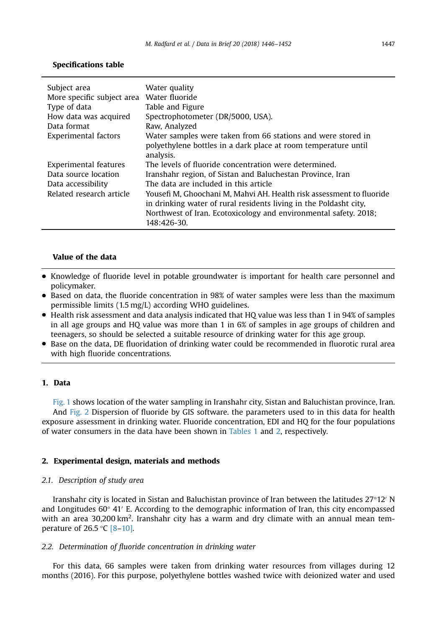| Subject area               | Water quality                                                        |
|----------------------------|----------------------------------------------------------------------|
| More specific subject area | Water fluoride                                                       |
| Type of data               | Table and Figure                                                     |
| How data was acquired      | Spectrophotometer (DR/5000, USA).                                    |
| Data format                | Raw, Analyzed                                                        |
| Experimental factors       | Water samples were taken from 66 stations and were stored in         |
|                            | polyethylene bottles in a dark place at room temperature until       |
|                            | analysis.                                                            |
| Experimental features      | The levels of fluoride concentration were determined.                |
| Data source location       | Iranshahr region, of Sistan and Baluchestan Province, Iran           |
| Data accessibility         | The data are included in this article                                |
| Related research article   | Yousefi M, Ghoochani M, Mahvi AH. Health risk assessment to fluoride |
|                            | in drinking water of rural residents living in the Poldasht city,    |
|                            | Northwest of Iran. Ecotoxicology and environmental safety. 2018;     |
|                            | 148:426-30.                                                          |

## Specifications table

## Value of the data

- Knowledge of fluoride level in potable groundwater is important for health care personnel and policymaker.
- Based on data, the fluoride concentration in 98% of water samples were less than the maximum permissible limits (1.5 mg/L) according WHO guidelines.
- Health risk assessment and data analysis indicated that HQ value was less than 1 in 94% of samples in all age groups and HQ value was more than 1 in 6% of samples in age groups of children and teenagers, so should be selected a suitable resource of drinking water for this age group.
- Base on the data, DE fluoridation of drinking water could be recommended in fluorotic rural area with high fluoride concentrations.

#### 1. Data

[Fig. 1](#page-2-0) shows location of the water sampling in Iranshahr city, Sistan and Baluchistan province, Iran. And [Fig. 2](#page-2-0) Dispersion of fluoride by GIS software. the parameters used to in this data for health exposure assessment in drinking water. Fluoride concentration, EDI and HQ for the four populations of water consumers in the data have been shown in [Tables 1](#page-3-0) and [2,](#page-4-0) respectively.

#### 2. Experimental design, materials and methods

#### 2.1. Description of study area

Iranshahr city is located in Sistan and Baluchistan province of Iran between the latitudes  $27^{\circ}12'$  N and Longitudes  $60^{\circ}$  41' E. According to the demographic information of Iran, this city encompassed with an area 30,200 km<sup>2</sup>. Iranshahr city has a warm and dry climate with an annual mean temperature of 26.5  $\degree$ C [\[8](#page-5-0)–[10\].](#page-5-0)

#### 2.2. Determination of fluoride concentration in drinking water

For this data, 66 samples were taken from drinking water resources from villages during 12 months (2016). For this purpose, polyethylene bottles washed twice with deionized water and used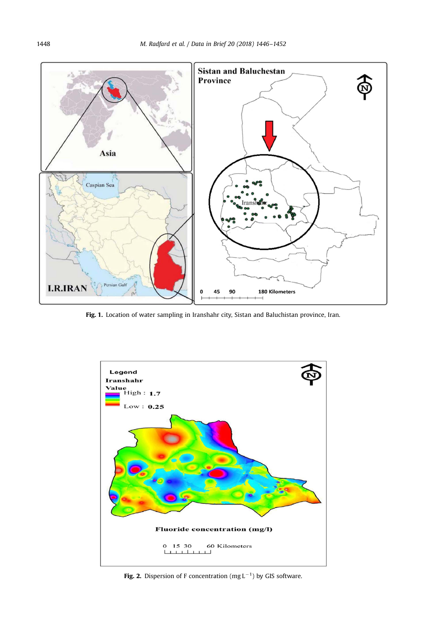<span id="page-2-0"></span>

Fig. 1. Location of water sampling in Iranshahr city, Sistan and Baluchistan province, Iran.



Fig. 2. Dispersion of F concentration (mg  $L^{-1}$ ) by GIS software.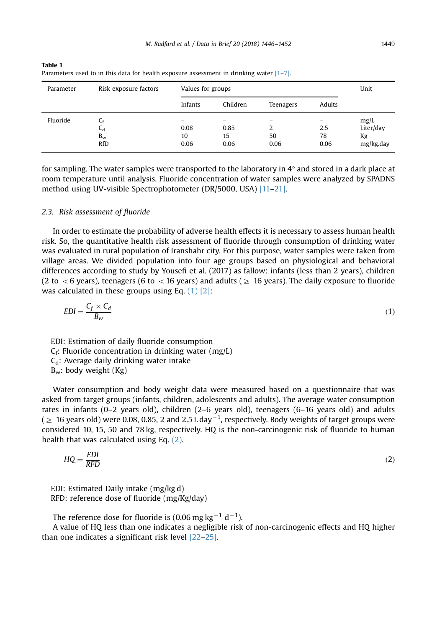| Parameter | Risk exposure factors                       | Values for groups  | Unit               |            |                   |                                      |
|-----------|---------------------------------------------|--------------------|--------------------|------------|-------------------|--------------------------------------|
|           |                                             | Infants            | Children           | Teenagers  | Adults            |                                      |
| Fluoride  | $C_f$<br>$C_d$<br>$B_{\rm w}$<br><b>RfD</b> | 0.08<br>10<br>0.06 | 0.85<br>15<br>0.06 | 50<br>0.06 | 2.5<br>78<br>0.06 | mg/L<br>Liter/day<br>Kg<br>mg/kg.day |

<span id="page-3-0"></span>Table 1 Parameters used to in this data for health exposure assessment in drinking water  $[1-7]$  $[1-7]$ .

for sampling. The water samples were transported to the laboratory in 4° and stored in a dark place at room temperature until analysis. Fluoride concentration of water samples were analyzed by SPADNS method using UV-visible Spectrophotometer (DR/5000, USA) [\[11](#page-5-0)–[21\]](#page-6-0).

#### 2.3. Risk assessment of fluoride

In order to estimate the probability of adverse health effects it is necessary to assess human health risk. So, the quantitative health risk assessment of fluoride through consumption of drinking water was evaluated in rural population of Iranshahr city. For this purpose, water samples were taken from village areas. We divided population into four age groups based on physiological and behavioral differences according to study by Yousefi et al. (2017) as fallow: infants (less than 2 years), children (2 to  $\lt$  6 years), teenagers (6 to  $\lt$  16 years) and adults ( $\geq$  16 years). The daily exposure to fluoride was calculated in these groups using Eq. (1) [\[2\]:](#page-5-0)

$$
EDI = \frac{C_f \times C_d}{B_w} \tag{1}
$$

EDI: Estimation of daily fluoride consumption  $C_f$ : Fluoride concentration in drinking water (mg/L)  $C_d$ : Average daily drinking water intake  $B_w$ : body weight (Kg)

Water consumption and body weight data were measured based on a questionnaire that was asked from target groups (infants, children, adolescents and adults). The average water consumption rates in infants (0–2 years old), children (2–6 years old), teenagers (6–16 years old) and adults (  $\geq\,$  16 years old) were 0.08, 0.85, 2 and 2.5 L day $^{-1}$ , respectively. Body weights of target groups were considered 10, 15, 50 and 78 kg, respectively. HQ is the non-carcinogenic risk of fluoride to human health that was calculated using Eq. (2).

$$
HQ = \frac{EDI}{RFD} \tag{2}
$$

EDI: Estimated Daily intake (mg/kg d) RFD: reference dose of fluoride (mg/Kg/day)

The reference dose for fluoride is (0.06 mg kg<sup>-1</sup> d<sup>-1</sup>).

A value of HQ less than one indicates a negligible risk of non-carcinogenic effects and HQ higher than one indicates a significant risk level [\[22](#page-6-0)–[25\].](#page-6-0)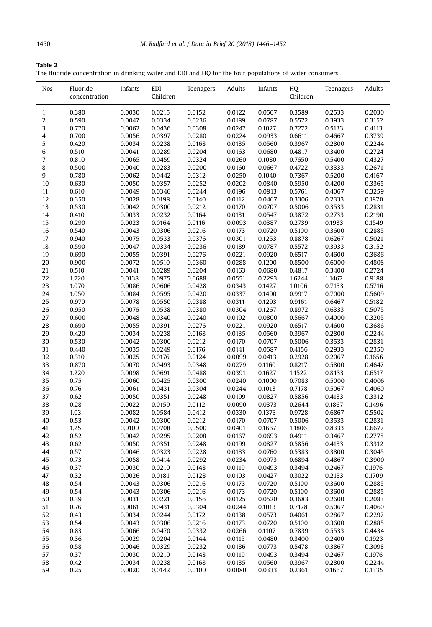<span id="page-4-0"></span>

| Table 2                                                                                                  |  |
|----------------------------------------------------------------------------------------------------------|--|
| The fluoride concentration in drinking water and EDI and HQ for the four populations of water consumers. |  |

| Nos          | Fluoride<br>concentration | Infants          | EDI<br>Children  | Teenagers        | Adults           | Infants          | HQ<br>Children   | Teenagers        | Adults           |
|--------------|---------------------------|------------------|------------------|------------------|------------------|------------------|------------------|------------------|------------------|
| $\mathbf{1}$ | 0.380                     | 0.0030           | 0.0215           | 0.0152           | 0.0122           | 0.0507           | 0.3589           | 0.2533           | 0.2030           |
| 2            | 0.590                     | 0.0047           | 0.0334           | 0.0236           | 0.0189           | 0.0787           | 0.5572           | 0.3933           | 0.3152           |
| 3            | 0.770                     | 0.0062           | 0.0436           | 0.0308           | 0.0247           | 0.1027           | 0.7272           | 0.5133           | 0.4113           |
| 4            | 0.700                     | 0.0056           | 0.0397           | 0.0280           | 0.0224           | 0.0933           | 0.6611           | 0.4667           | 0.3739           |
| 5            | 0.420                     | 0.0034           | 0.0238           | 0.0168           | 0.0135           | 0.0560           | 0.3967           | 0.2800           | 0.2244           |
| 6            | 0.510                     | 0.0041           | 0.0289           | 0.0204           | 0.0163           | 0.0680           | 0.4817           | 0.3400           | 0.2724           |
| 7            | 0.810                     | 0.0065           | 0.0459           | 0.0324           | 0.0260           | 0.1080           | 0.7650           | 0.5400           | 0.4327           |
| 8<br>9       | 0.500                     | 0.0040           | 0.0283           | 0.0200           | 0.0160           | 0.0667           | 0.4722           | 0.3333           | 0.2671           |
| 10           | 0.780<br>0.630            | 0.0062<br>0.0050 | 0.0442<br>0.0357 | 0.0312<br>0.0252 | 0.0250<br>0.0202 | 0.1040<br>0.0840 | 0.7367<br>0.5950 | 0.5200<br>0.4200 | 0.4167<br>0.3365 |
| 11           | 0.610                     | 0.0049           | 0.0346           | 0.0244           | 0.0196           | 0.0813           | 0.5761           | 0.4067           | 0.3259           |
| 12           | 0.350                     | 0.0028           | 0.0198           | 0.0140           | 0.0112           | 0.0467           | 0.3306           | 0.2333           | 0.1870           |
| 13           | 0.530                     | 0.0042           | 0.0300           | 0.0212           | 0.0170           | 0.0707           | 0.5006           | 0.3533           | 0.2831           |
| 14           | 0.410                     | 0.0033           | 0.0232           | 0.0164           | 0.0131           | 0.0547           | 0.3872           | 0.2733           | 0.2190           |
| 15           | 0.290                     | 0.0023           | 0.0164           | 0.0116           | 0.0093           | 0.0387           | 0.2739           | 0.1933           | 0.1549           |
| 16           | 0.540                     | 0.0043           | 0.0306           | 0.0216           | 0.0173           | 0.0720           | 0.5100           | 0.3600           | 0.2885           |
| 17           | 0.940                     | 0.0075           | 0.0533           | 0.0376           | 0.0301           | 0.1253           | 0.8878           | 0.6267           | 0.5021           |
| 18           | 0.590                     | 0.0047           | 0.0334           | 0.0236           | 0.0189           | 0.0787           | 0.5572           | 0.3933           | 0.3152           |
| 19           | 0.690                     | 0.0055           | 0.0391           | 0.0276           | 0.0221           | 0.0920           | 0.6517           | 0.4600           | 0.3686           |
| 20           | 0.900                     | 0.0072           | 0.0510           | 0.0360           | 0.0288           | 0.1200           | 0.8500           | 0.6000           | 0.4808           |
| 21           | 0.510                     | 0.0041           | 0.0289           | 0.0204           | 0.0163           | 0.0680           | 0.4817           | 0.3400           | 0.2724           |
| 22           | 1.720                     | 0.0138           | 0.0975           | 0.0688           | 0.0551           | 0.2293           | 1.6244           | 1.1467           | 0.9188           |
| 23           | 1.070                     | 0.0086           | 0.0606           | 0.0428           | 0.0343           | 0.1427           | 1.0106           | 0.7133           | 0.5716           |
| 24           | 1.050                     | 0.0084           | 0.0595           | 0.0420           | 0.0337           | 0.1400           | 0.9917           | 0.7000           | 0.5609           |
| 25           | 0.970                     | 0.0078           | 0.0550           | 0.0388           | 0.0311           | 0.1293           | 0.9161           | 0.6467           | 0.5182           |
| 26           | 0.950                     | 0.0076           | 0.0538           | 0.0380           | 0.0304           | 0.1267           | 0.8972           | 0.6333           | 0.5075           |
| 27           | 0.600                     | 0.0048           | 0.0340           | 0.0240           | 0.0192           | 0.0800           | 0.5667           | 0.4000           | 0.3205           |
| 28           | 0.690                     | 0.0055           | 0.0391           | 0.0276           | 0.0221           | 0.0920           | 0.6517           | 0.4600           | 0.3686           |
| 29           | 0.420                     | 0.0034<br>0.0042 | 0.0238           | 0.0168           | 0.0135           | 0.0560           | 0.3967           | 0.2800           | 0.2244<br>0.2831 |
| 30<br>31     | 0.530<br>0.440            | 0.0035           | 0.0300<br>0.0249 | 0.0212<br>0.0176 | 0.0170<br>0.0141 | 0.0707<br>0.0587 | 0.5006<br>0.4156 | 0.3533<br>0.2933 | 0.2350           |
| 32           | 0.310                     | 0.0025           | 0.0176           | 0.0124           | 0.0099           | 0.0413           | 0.2928           | 0.2067           | 0.1656           |
| 33           | 0.870                     | 0.0070           | 0.0493           | 0.0348           | 0.0279           | 0.1160           | 0.8217           | 0.5800           | 0.4647           |
| 34           | 1.220                     | 0.0098           | 0.0691           | 0.0488           | 0.0391           | 0.1627           | 1.1522           | 0.8133           | 0.6517           |
| 35           | 0.75                      | 0.0060           | 0.0425           | 0.0300           | 0.0240           | 0.1000           | 0.7083           | 0.5000           | 0.4006           |
| 36           | 0.76                      | 0.0061           | 0.0431           | 0.0304           | 0.0244           | 0.1013           | 0.7178           | 0.5067           | 0.4060           |
| 37           | 0.62                      | 0.0050           | 0.0351           | 0.0248           | 0.0199           | 0.0827           | 0.5856           | 0.4133           | 0.3312           |
| 38           | 0.28                      | 0.0022           | 0.0159           | 0.0112           | 0.0090           | 0.0373           | 0.2644           | 0.1867           | 0.1496           |
| 39           | 1.03                      | 0.0082           | 0.0584           | 0.0412           | 0.0330           | 0.1373           | 0.9728           | 0.6867           | 0.5502           |
| 40           | 0.53                      | 0.0042           | 0.0300           | 0.0212           | 0.0170           | 0.0707           | 0.5006           | 0.3533           | 0.2831           |
| 41           | 1.25                      | 0.0100           | 0.0708           | 0.0500           | 0.0401           | 0.1667           | 1.1806           | 0.8333           | 0.6677           |
| 42           | 0.52                      | 0.0042           | 0.0295           | 0.0208           | 0.0167           | 0.0693           | 0.4911           | 0.3467           | 0.2778           |
| 43           | 0.62                      | 0.0050           | 0.0351           | 0.0248           | 0.0199           | 0.0827           | 0.5856           | 0.4133           | 0.3312           |
| 44           | 0.57                      | 0.0046           | 0.0323           | 0.0228           | 0.0183           | 0.0760           | 0.5383           | 0.3800           | 0.3045           |
| 45           | 0.73                      | 0.0058           | 0.0414           | 0.0292           | 0.0234           | 0.0973           | 0.6894           | 0.4867           | 0.3900           |
| 46           | 0.37                      | 0.0030           | 0.0210           | 0.0148           | 0.0119           | 0.0493           | 0.3494           | 0.2467           | 0.1976           |
| 47           | 0.32                      | 0.0026           | 0.0181           | 0.0128           | 0.0103           | 0.0427           | 0.3022           | 0.2133           | 0.1709           |
| 48           | 0.54                      | 0.0043           | 0.0306           | 0.0216           | 0.0173           | 0.0720           | 0.5100           | 0.3600           | 0.2885           |
| 49           | 0.54                      | 0.0043           | 0.0306           | 0.0216           | 0.0173           | 0.0720           | 0.5100           | 0.3600           | 0.2885           |
| 50           | 0.39                      | 0.0031           | 0.0221           | 0.0156           | 0.0125           | 0.0520           | 0.3683           | 0.2600           | 0.2083           |
| 51           | 0.76                      | 0.0061           | 0.0431           | 0.0304           | 0.0244           | 0.1013           | 0.7178           | 0.5067           | 0.4060           |
| 52<br>53     | 0.43<br>0.54              | 0.0034<br>0.0043 | 0.0244<br>0.0306 | 0.0172<br>0.0216 | 0.0138<br>0.0173 | 0.0573<br>0.0720 | 0.4061<br>0.5100 | 0.2867<br>0.3600 | 0.2297<br>0.2885 |
| 54           | 0.83                      | 0.0066           | 0.0470           | 0.0332           | 0.0266           | 0.1107           | 0.7839           | 0.5533           | 0.4434           |
| 55           | 0.36                      | 0.0029           | 0.0204           | 0.0144           | 0.0115           | 0.0480           | 0.3400           | 0.2400           | 0.1923           |
| 56           | 0.58                      | 0.0046           | 0.0329           | 0.0232           | 0.0186           | 0.0773           | 0.5478           | 0.3867           | 0.3098           |
| 57           | 0.37                      | 0.0030           | 0.0210           | 0.0148           | 0.0119           | 0.0493           | 0.3494           | 0.2467           | 0.1976           |
| 58           | 0.42                      | 0.0034           | 0.0238           | 0.0168           | 0.0135           | 0.0560           | 0.3967           | 0.2800           | 0.2244           |
| 59           | 0.25                      | 0.0020           | 0.0142           | 0.0100           | 0.0080           | 0.0333           | 0.2361           | 0.1667           | 0.1335           |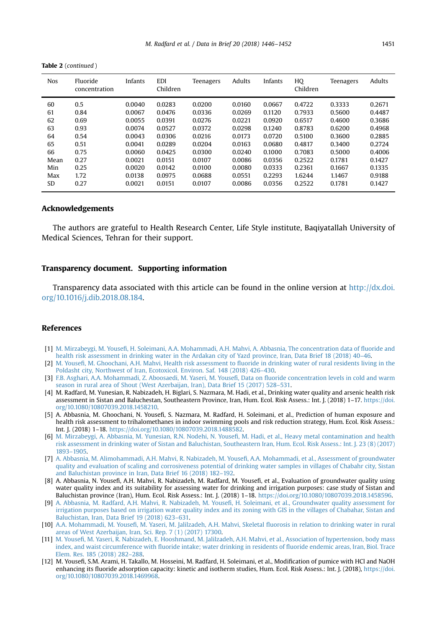| <b>Nos</b> | Fluoride<br>concentration | Infants | EDI<br>Children | Teenagers | <b>Adults</b> | Infants | HQ<br>Children | Teenagers | Adults |
|------------|---------------------------|---------|-----------------|-----------|---------------|---------|----------------|-----------|--------|
| 60         | 0.5                       | 0.0040  | 0.0283          | 0.0200    | 0.0160        | 0.0667  | 0.4722         | 0.3333    | 0.2671 |
| 61         | 0.84                      | 0.0067  | 0.0476          | 0.0336    | 0.0269        | 0.1120  | 0.7933         | 0.5600    | 0.4487 |
| 62         | 0.69                      | 0.0055  | 0.0391          | 0.0276    | 0.0221        | 0.0920  | 0.6517         | 0.4600    | 0.3686 |
| 63         | 0.93                      | 0.0074  | 0.0527          | 0.0372    | 0.0298        | 0.1240  | 0.8783         | 0.6200    | 0.4968 |
| 64         | 0.54                      | 0.0043  | 0.0306          | 0.0216    | 0.0173        | 0.0720  | 0.5100         | 0.3600    | 0.2885 |
| 65         | 0.51                      | 0.0041  | 0.0289          | 0.0204    | 0.0163        | 0.0680  | 0.4817         | 0.3400    | 0.2724 |
| 66         | 0.75                      | 0.0060  | 0.0425          | 0.0300    | 0.0240        | 0.1000  | 0.7083         | 0.5000    | 0.4006 |
| Mean       | 0.27                      | 0.0021  | 0.0151          | 0.0107    | 0.0086        | 0.0356  | 0.2522         | 0.1781    | 0.1427 |
| Min        | 0.25                      | 0.0020  | 0.0142          | 0.0100    | 0.0080        | 0.0333  | 0.2361         | 0.1667    | 0.1335 |
| Max        | 1.72                      | 0.0138  | 0.0975          | 0.0688    | 0.0551        | 0.2293  | 1.6244         | 1.1467    | 0.9188 |
| SD         | 0.27                      | 0.0021  | 0.0151          | 0.0107    | 0.0086        | 0.0356  | 0.2522         | 0.1781    | 0.1427 |

<span id="page-5-0"></span>Table 2 (continued )

#### Acknowledgements

The authors are grateful to Health Research Center, Life Style institute, Baqiyatallah University of Medical Sciences, Tehran for their support.

### Transparency document. Supporting information

Transparency data associated with this article can be found in the online version at [http://dx.doi.](dx.doi.org/10.1016/j.dib.2018.08.184) [org/10.1016/j.dib.2018.08.184](dx.doi.org/10.1016/j.dib.2018.08.184).

#### References

- [1] M. Mirzabeygi, M. Yousefi[, H. Soleimani, A.A. Mohammadi, A.H. Mahvi, A. Abbasnia, The concentration data of](http://refhub.elsevier.com/S2352-3409(18)31039-4/sbref1) fluoride and [health risk assessment in drinking water in the Ardakan city of Yazd province, Iran, Data Brief 18 \(2018\) 40](http://refhub.elsevier.com/S2352-3409(18)31039-4/sbref1)–46.
- [2] M. Yousefi, M. Ghoochani, A.H. Mahvi, Health risk assessment to fl[uoride in drinking water of rural residents living in the](http://refhub.elsevier.com/S2352-3409(18)31039-4/sbref2) [Poldasht city, Northwest of Iran, Ecotoxicol. Environ. Saf. 148 \(2018\) 426](http://refhub.elsevier.com/S2352-3409(18)31039-4/sbref2)–430.
- [3] [F.B. Asghari, A.A. Mohammadi, Z. Aboosaedi, M. Yaseri, M. Youse](http://refhub.elsevier.com/S2352-3409(18)31039-4/sbref3)fi, Data on fluoride concentration levels in cold and warm [season in rural area of Shout \(West Azerbaijan, Iran\), Data Brief 15 \(2017\) 528](http://refhub.elsevier.com/S2352-3409(18)31039-4/sbref3)–531.
- [4] M. Radfard, M. Yunesian, R. Nabizadeh, H. Biglari, S. Nazmara, M. Hadi, et al., Drinking water quality and arsenic health risk assessment in Sistan and Baluchestan, Southeastern Province, Iran, Hum. Ecol. Risk Assess.: Int. J. (2018) 1–17. [https://doi.](dx.doi.org/10.1080/10807039.2018.1458210) [org/10.1080/10807039.2018.1458210](dx.doi.org/10.1080/10807039.2018.1458210).
- [5] A. Abbasnia, M. Ghoochani, N. Yousefi, S. Nazmara, M. Radfard, H. Soleimani, et al., Prediction of human exposure and health risk assessment to trihalomethanes in indoor swimming pools and risk reduction strategy, Hum. Ecol. Risk Assess.: Int. J. (2018) 1–18. [https://doi.org/10.1080/10807039.2018.1488582.](dx.doi.org/10.1080/10807039.2018.1488582)
- [6] [M. Mirzabeygi, A. Abbasnia, M. Yunesian, R.N. Nodehi, N. Youse](http://refhub.elsevier.com/S2352-3409(18)31039-4/sbref6)fi, M. Hadi, et al., Heavy metal contamination and health [risk assessment in drinking water of Sistan and Baluchistan, Southeastern Iran, Hum. Ecol. Risk Assess.: Int. J. 23 \(8\) \(2017\)](http://refhub.elsevier.com/S2352-3409(18)31039-4/sbref6) [1893](http://refhub.elsevier.com/S2352-3409(18)31039-4/sbref6)–[1905.](http://refhub.elsevier.com/S2352-3409(18)31039-4/sbref6)
- [7] [A. Abbasnia, M. Alimohammadi, A.H. Mahvi, R. Nabizadeh, M. Youse](http://refhub.elsevier.com/S2352-3409(18)31039-4/sbref7)fi, A.A. Mohammadi, et al., Assessment of groundwater [quality and evaluation of scaling and corrosiveness potential of drinking water samples in villages of Chabahr city, Sistan](http://refhub.elsevier.com/S2352-3409(18)31039-4/sbref7) [and Baluchistan province in Iran, Data Brief 16 \(2018\) 182](http://refhub.elsevier.com/S2352-3409(18)31039-4/sbref7)–192.
- [8] A. Abbasnia, N. Yousefi, A.H. Mahvi, R. Nabizadeh, M. Radfard, M. Yousefi, et al., Evaluation of groundwater quality using water quality index and its suitability for assessing water for drinking and irrigation purposes: case study of Sistan and Baluchistan province (Iran), Hum. Ecol. Risk Assess.: Int. J. (2018) 1–18. [https://doi.org/10.1080/10807039.2018.1458596](dx.doi.org/10.1080/10807039.2018.1458596).
- [9] [A. Abbasnia, M. Radfard, A.H. Mahvi, R. Nabizadeh, M. Youse](http://refhub.elsevier.com/S2352-3409(18)31039-4/sbref9)fi, H. Soleimani, et al., Groundwater quality assessment for [irrigation purposes based on irrigation water quality index and its zoning with GIS in the villages of Chabahar, Sistan and](http://refhub.elsevier.com/S2352-3409(18)31039-4/sbref9) [Baluchistan, Iran, Data Brief 19 \(2018\) 623](http://refhub.elsevier.com/S2352-3409(18)31039-4/sbref9)–631.
- [10] A.A. Mohammadi, M. Yousefi[, M. Yaseri, M. Jalilzadeh, A.H. Mahvi, Skeletal](http://refhub.elsevier.com/S2352-3409(18)31039-4/sbref10) fluorosis in relation to drinking water in rural [areas of West Azerbaijan, Iran, Sci. Rep. 7 \(1\) \(2017\) 17300.](http://refhub.elsevier.com/S2352-3409(18)31039-4/sbref10)
- [11] M. Yousefi[, M. Yaseri, R. Nabizadeh, E. Hooshmand, M. Jalilzadeh, A.H. Mahvi, et al., Association of hypertension, body mass](http://refhub.elsevier.com/S2352-3409(18)31039-4/sbref11) index, and waist circumference with fl[uoride intake; water drinking in residents of](http://refhub.elsevier.com/S2352-3409(18)31039-4/sbref11) fluoride endemic areas, Iran, Biol. Trace [Elem. Res. 185 \(2018\) 282](http://refhub.elsevier.com/S2352-3409(18)31039-4/sbref11)–288.
- [12] M. Yousefi, S.M. Arami, H. Takallo, M. Hosseini, M. Radfard, H. Soleimani, et al., Modification of pumice with HCl and NaOH enhancing its fluoride adsorption capacity: kinetic and isotherm studies, Hum. Ecol. Risk Assess.: Int. J. (2018), [https://doi.](dx.doi.org/10.1080/10807039.2018.1469968) [org/10.1080/10807039.2018.1469968](dx.doi.org/10.1080/10807039.2018.1469968).